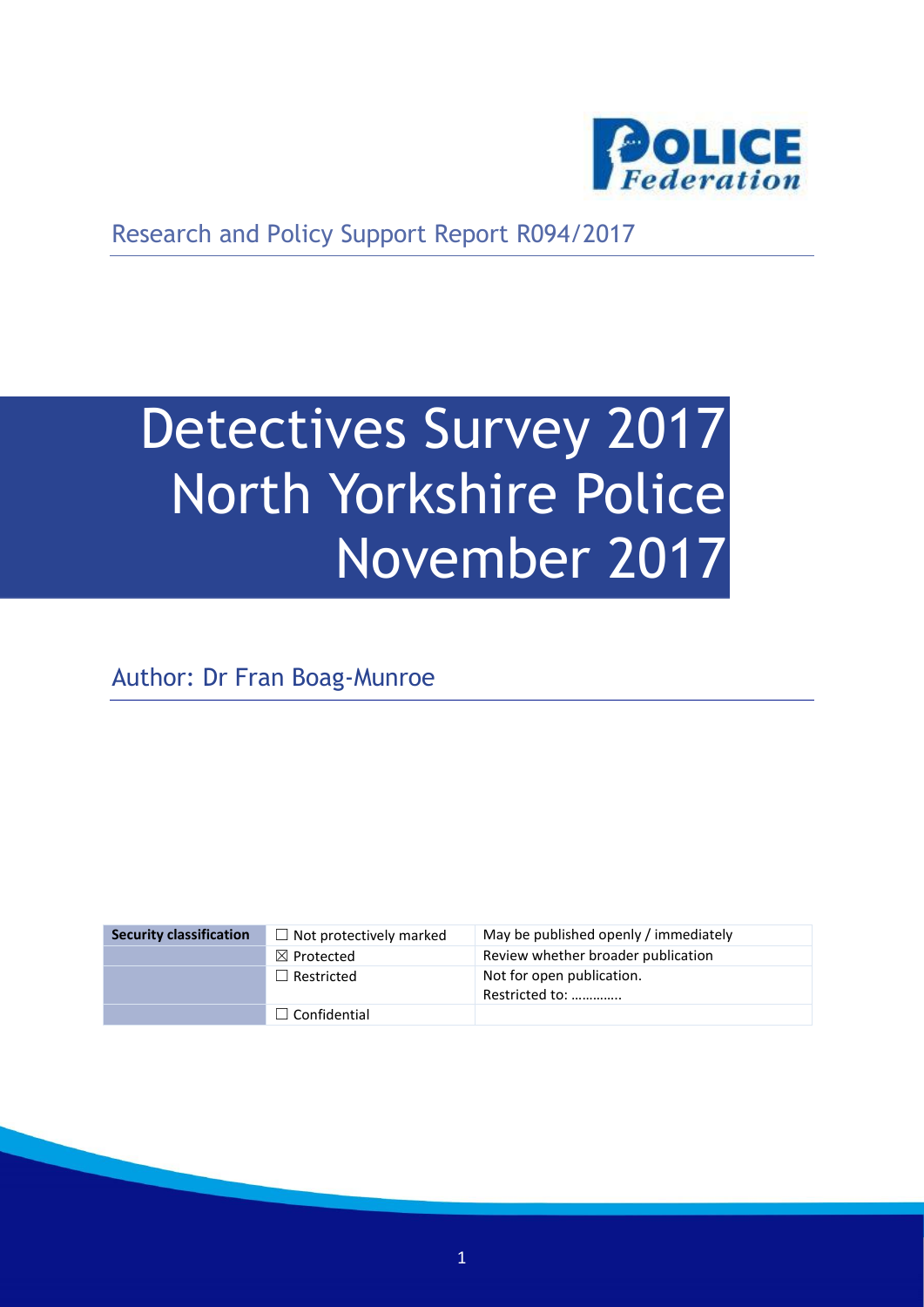

Research and Policy Support Report R094/2017

# Detectives Survey 2017 North Yorkshire Police November 2017

Author: Dr Fran Boag-Munroe

| <b>Security classification</b> | $\Box$ Not protectively marked | May be published openly / immediately       |
|--------------------------------|--------------------------------|---------------------------------------------|
|                                | $\boxtimes$ Protected          | Review whether broader publication          |
|                                | $\Box$ Restricted              | Not for open publication.<br>Restricted to: |
|                                | $\Box$ Confidential            |                                             |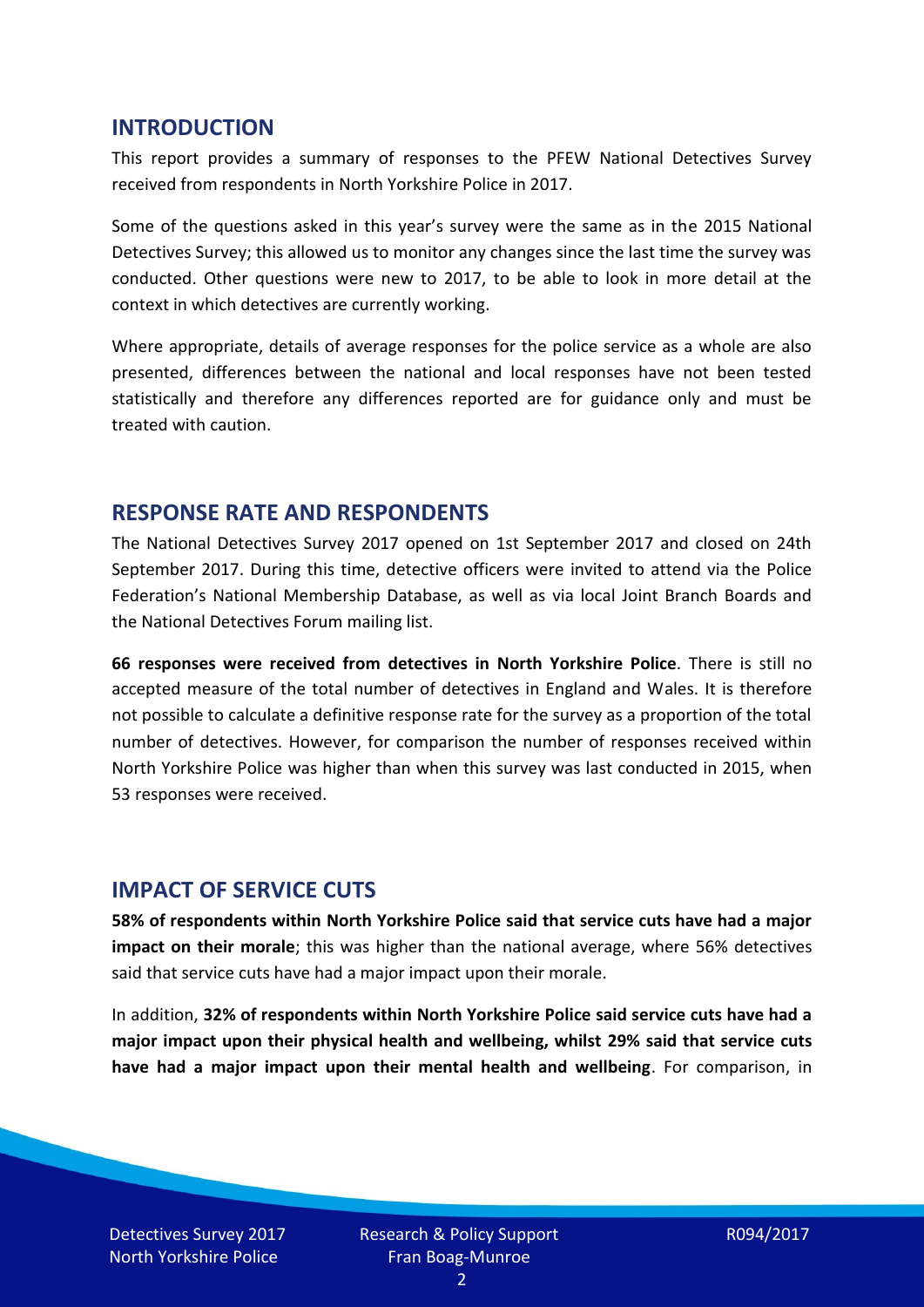#### **INTRODUCTION**

This report provides a summary of responses to the PFEW National Detectives Survey received from respondents in North Yorkshire Police in 2017.

Some of the questions asked in this year's survey were the same as in the 2015 National Detectives Survey; this allowed us to monitor any changes since the last time the survey was conducted. Other questions were new to 2017, to be able to look in more detail at the context in which detectives are currently working.

Where appropriate, details of average responses for the police service as a whole are also presented, differences between the national and local responses have not been tested statistically and therefore any differences reported are for guidance only and must be treated with caution.

#### **RESPONSE RATE AND RESPONDENTS**

The National Detectives Survey 2017 opened on 1st September 2017 and closed on 24th September 2017. During this time, detective officers were invited to attend via the Police Federation's National Membership Database, as well as via local Joint Branch Boards and the National Detectives Forum mailing list.

**66 responses were received from detectives in North Yorkshire Police**. There is still no accepted measure of the total number of detectives in England and Wales. It is therefore not possible to calculate a definitive response rate for the survey as a proportion of the total number of detectives. However, for comparison the number of responses received within North Yorkshire Police was higher than when this survey was last conducted in 2015, when 53 responses were received.

#### **IMPACT OF SERVICE CUTS**

**58% of respondents within North Yorkshire Police said that service cuts have had a major impact on their morale**; this was higher than the national average, where 56% detectives said that service cuts have had a major impact upon their morale.

In addition, **32% of respondents within North Yorkshire Police said service cuts have had a major impact upon their physical health and wellbeing, whilst 29% said that service cuts have had a major impact upon their mental health and wellbeing**. For comparison, in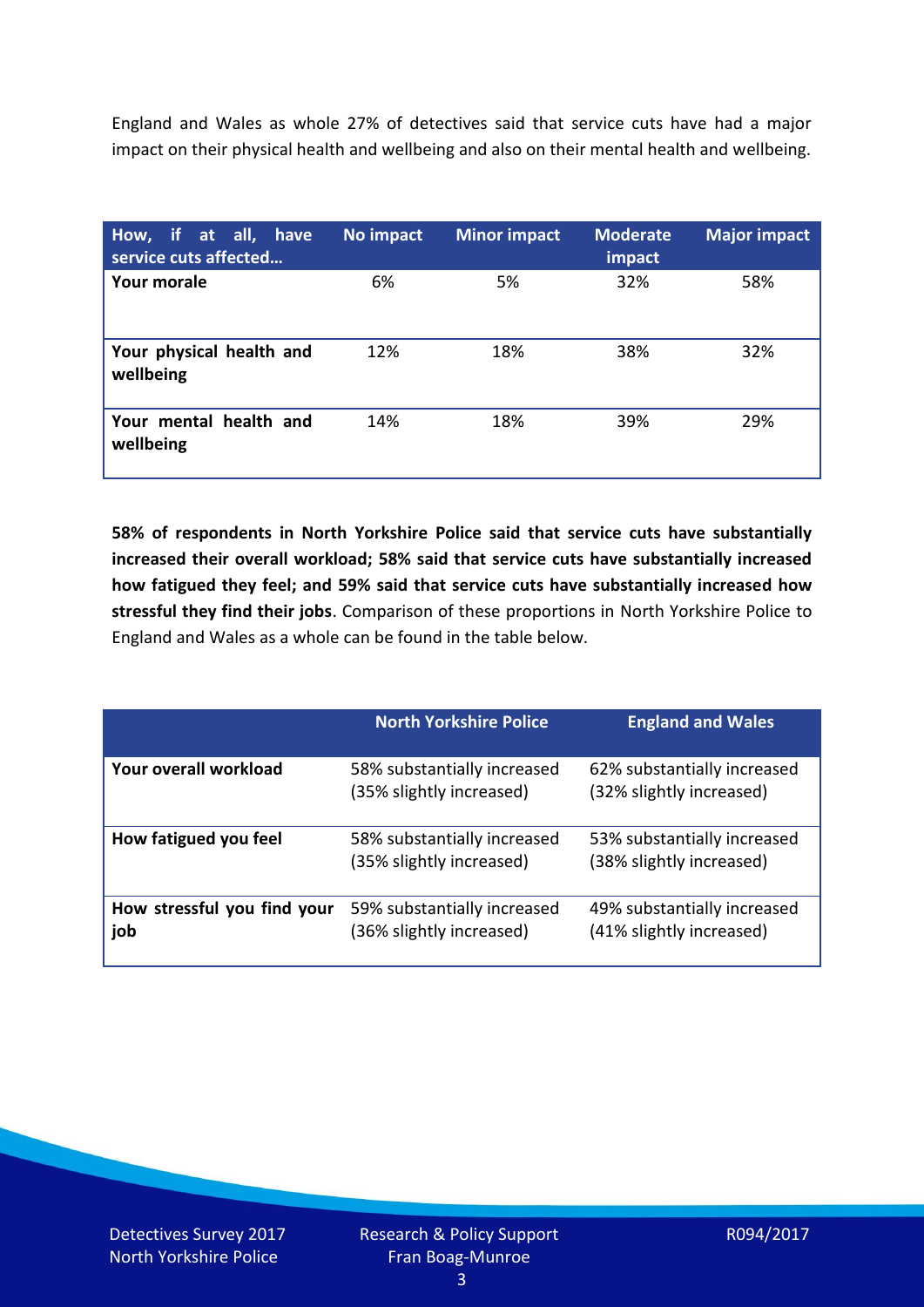England and Wales as whole 27% of detectives said that service cuts have had a major impact on their physical health and wellbeing and also on their mental health and wellbeing.

| How, if at all, have<br>service cuts affected | No impact | <b>Minor impact</b> | <b>Moderate</b><br>impact | <b>Major impact</b> |
|-----------------------------------------------|-----------|---------------------|---------------------------|---------------------|
| Your morale                                   | 6%        | 5%                  | 32%                       | 58%                 |
| Your physical health and<br>wellbeing         | 12%       | 18%                 | 38%                       | 32%                 |
| Your mental health and<br>wellbeing           | 14%       | 18%                 | 39%                       | 29%                 |

**58% of respondents in North Yorkshire Police said that service cuts have substantially increased their overall workload; 58% said that service cuts have substantially increased how fatigued they feel; and 59% said that service cuts have substantially increased how stressful they find their jobs**. Comparison of these proportions in North Yorkshire Police to England and Wales as a whole can be found in the table below.

|                                    | <b>North Yorkshire Police</b>                           | <b>England and Wales</b>                                |
|------------------------------------|---------------------------------------------------------|---------------------------------------------------------|
| Your overall workload              | 58% substantially increased<br>(35% slightly increased) | 62% substantially increased<br>(32% slightly increased) |
| How fatigued you feel              | 58% substantially increased<br>(35% slightly increased) | 53% substantially increased<br>(38% slightly increased) |
| How stressful you find your<br>job | 59% substantially increased<br>(36% slightly increased) | 49% substantially increased<br>(41% slightly increased) |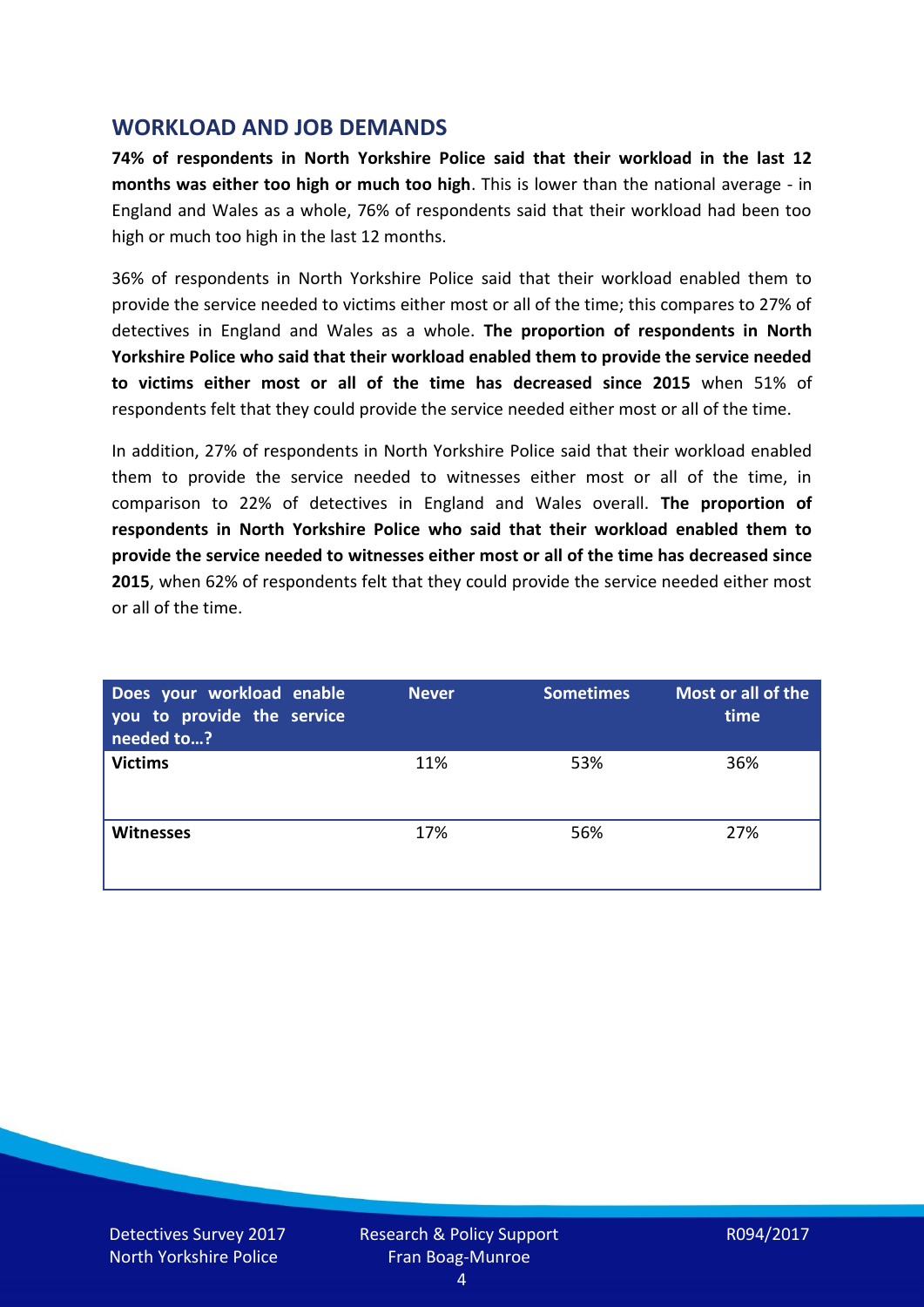## **WORKLOAD AND JOB DEMANDS**

**74% of respondents in North Yorkshire Police said that their workload in the last 12 months was either too high or much too high**. This is lower than the national average - in England and Wales as a whole, 76% of respondents said that their workload had been too high or much too high in the last 12 months.

36% of respondents in North Yorkshire Police said that their workload enabled them to provide the service needed to victims either most or all of the time; this compares to 27% of detectives in England and Wales as a whole. **The proportion of respondents in North Yorkshire Police who said that their workload enabled them to provide the service needed to victims either most or all of the time has decreased since 2015** when 51% of respondents felt that they could provide the service needed either most or all of the time.

In addition, 27% of respondents in North Yorkshire Police said that their workload enabled them to provide the service needed to witnesses either most or all of the time, in comparison to 22% of detectives in England and Wales overall. **The proportion of respondents in North Yorkshire Police who said that their workload enabled them to provide the service needed to witnesses either most or all of the time has decreased since 2015**, when 62% of respondents felt that they could provide the service needed either most or all of the time.

| Does your workload enable<br>you to provide the service<br>needed to? | <b>Never</b> | <b>Sometimes</b> | Most or all of the<br>time |
|-----------------------------------------------------------------------|--------------|------------------|----------------------------|
| <b>Victims</b>                                                        | 11%          | 53%              | 36%                        |
| <b>Witnesses</b>                                                      | 17%          | 56%              | 27%                        |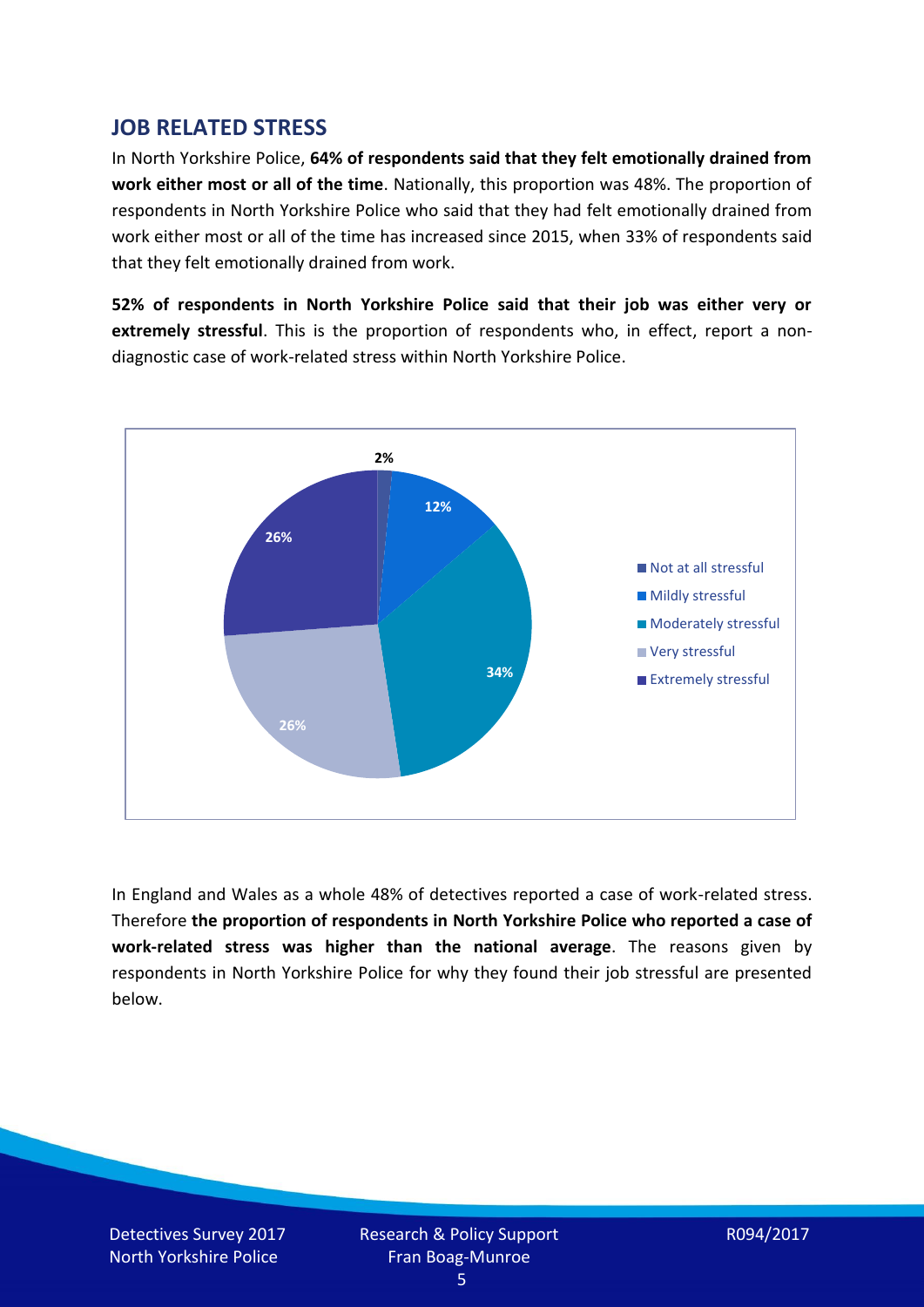## **JOB RELATED STRESS**

In North Yorkshire Police, **64% of respondents said that they felt emotionally drained from work either most or all of the time**. Nationally, this proportion was 48%. The proportion of respondents in North Yorkshire Police who said that they had felt emotionally drained from work either most or all of the time has increased since 2015, when 33% of respondents said that they felt emotionally drained from work.

**52% of respondents in North Yorkshire Police said that their job was either very or extremely stressful**. This is the proportion of respondents who, in effect, report a nondiagnostic case of work-related stress within North Yorkshire Police.



In England and Wales as a whole 48% of detectives reported a case of work-related stress. Therefore **the proportion of respondents in North Yorkshire Police who reported a case of work-related stress was higher than the national average**. The reasons given by respondents in North Yorkshire Police for why they found their job stressful are presented below.

Detectives Survey 2017 North Yorkshire Police

Research & Policy Support Fran Boag-Munroe

R094/2017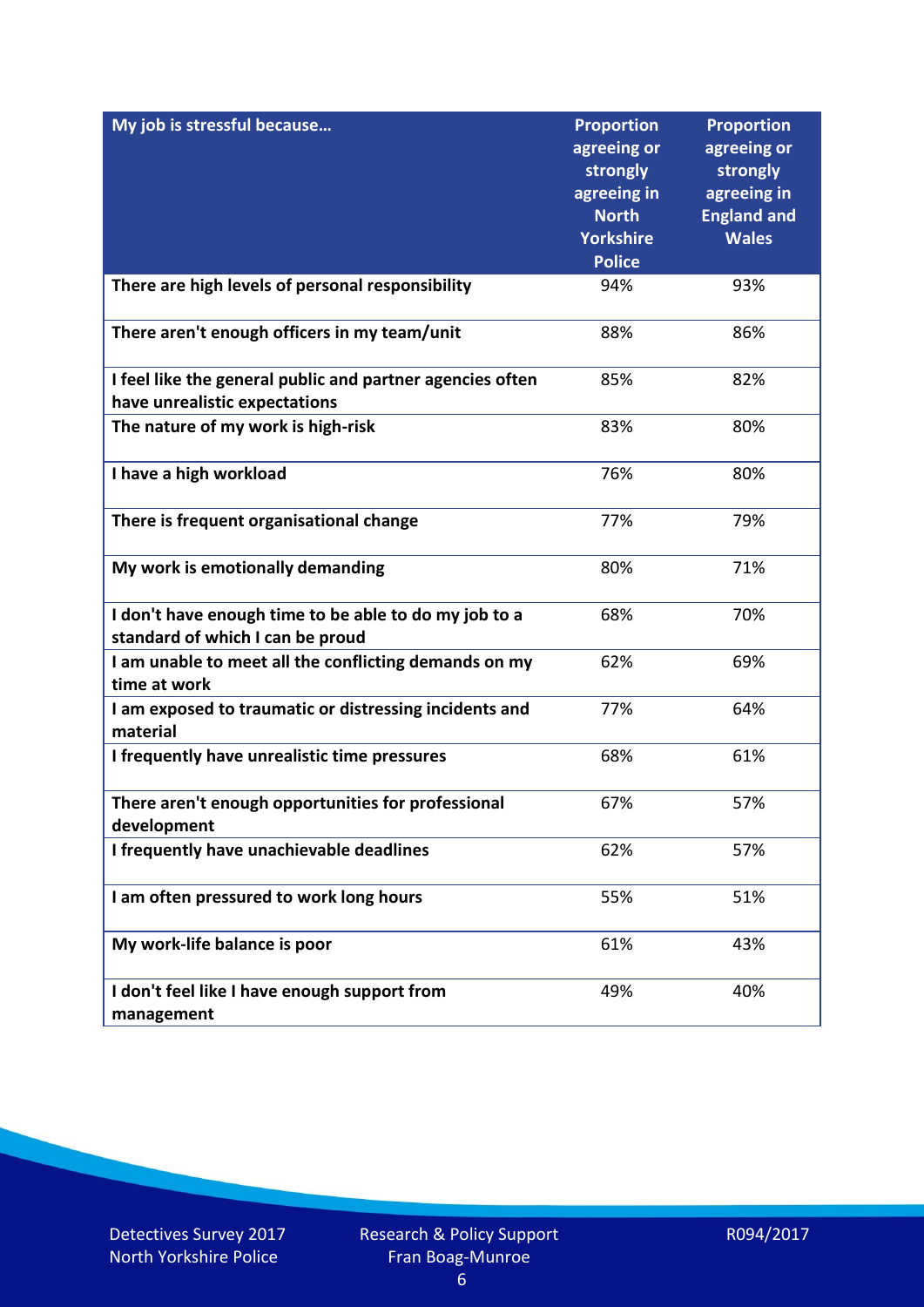| My job is stressful because                                                                | <b>Proportion</b><br>agreeing or<br>strongly<br>agreeing in<br><b>North</b><br><b>Yorkshire</b><br><b>Police</b> | <b>Proportion</b><br>agreeing or<br>strongly<br>agreeing in<br><b>England and</b><br><b>Wales</b> |
|--------------------------------------------------------------------------------------------|------------------------------------------------------------------------------------------------------------------|---------------------------------------------------------------------------------------------------|
| There are high levels of personal responsibility                                           | 94%                                                                                                              | 93%                                                                                               |
| There aren't enough officers in my team/unit                                               | 88%                                                                                                              | 86%                                                                                               |
| I feel like the general public and partner agencies often<br>have unrealistic expectations | 85%                                                                                                              | 82%                                                                                               |
| The nature of my work is high-risk                                                         | 83%                                                                                                              | 80%                                                                                               |
| I have a high workload                                                                     | 76%                                                                                                              | 80%                                                                                               |
| There is frequent organisational change                                                    | 77%                                                                                                              | 79%                                                                                               |
| My work is emotionally demanding                                                           | 80%                                                                                                              | 71%                                                                                               |
| I don't have enough time to be able to do my job to a<br>standard of which I can be proud  | 68%                                                                                                              | 70%                                                                                               |
| I am unable to meet all the conflicting demands on my<br>time at work                      | 62%                                                                                                              | 69%                                                                                               |
| I am exposed to traumatic or distressing incidents and<br>material                         | 77%                                                                                                              | 64%                                                                                               |
| I frequently have unrealistic time pressures                                               | 68%                                                                                                              | 61%                                                                                               |
| There aren't enough opportunities for professional<br>development                          | 67%                                                                                                              | 57%                                                                                               |
| I frequently have unachievable deadlines                                                   | 62%                                                                                                              | 57%                                                                                               |
| I am often pressured to work long hours                                                    | 55%                                                                                                              | 51%                                                                                               |
| My work-life balance is poor                                                               | 61%                                                                                                              | 43%                                                                                               |
| I don't feel like I have enough support from<br>management                                 | 49%                                                                                                              | 40%                                                                                               |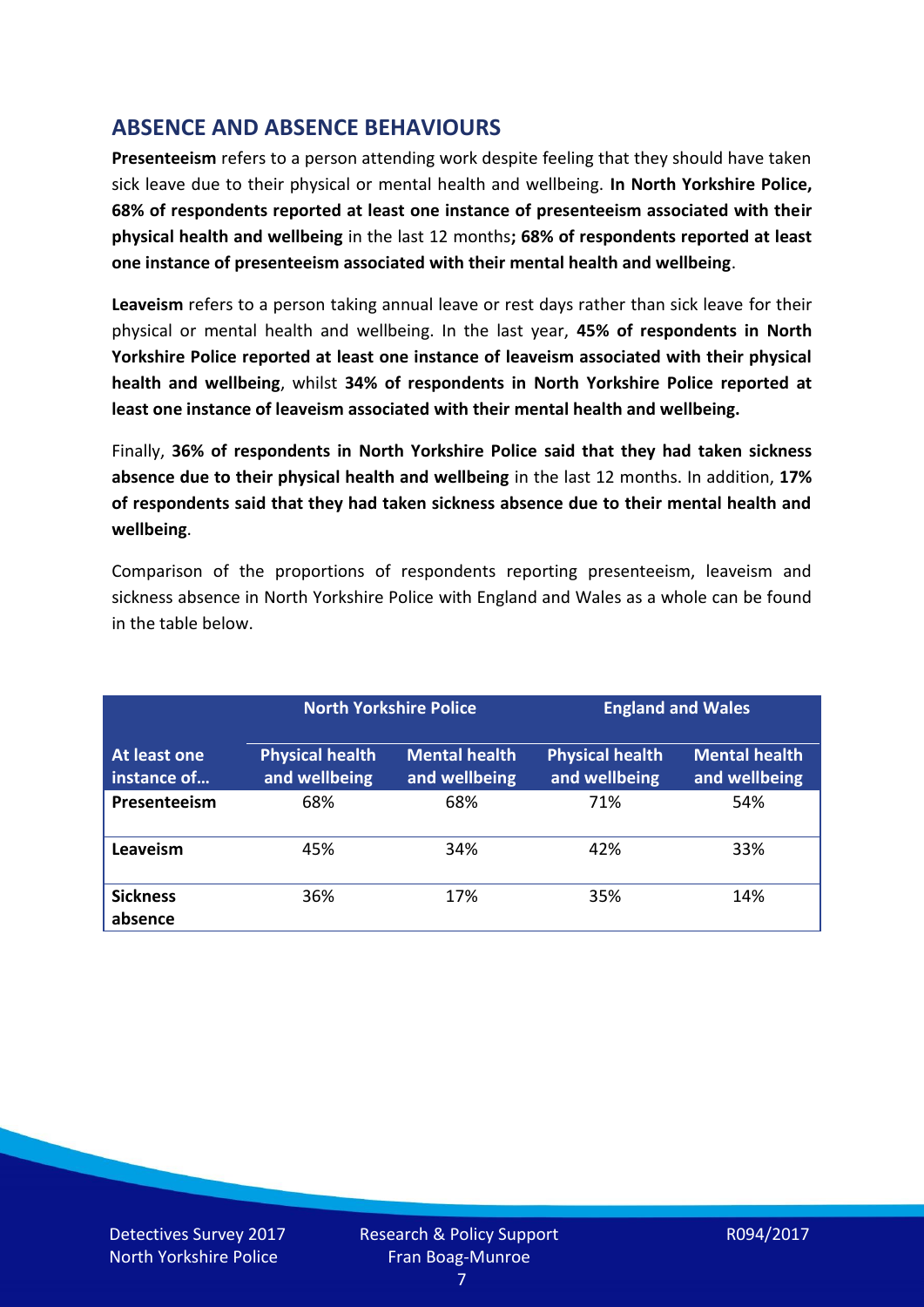# **ABSENCE AND ABSENCE BEHAVIOURS**

**Presenteeism** refers to a person attending work despite feeling that they should have taken sick leave due to their physical or mental health and wellbeing. **In North Yorkshire Police, 68% of respondents reported at least one instance of presenteeism associated with their physical health and wellbeing** in the last 12 months**; 68% of respondents reported at least one instance of presenteeism associated with their mental health and wellbeing**.

**Leaveism** refers to a person taking annual leave or rest days rather than sick leave for their physical or mental health and wellbeing. In the last year, **45% of respondents in North Yorkshire Police reported at least one instance of leaveism associated with their physical health and wellbeing**, whilst **34% of respondents in North Yorkshire Police reported at least one instance of leaveism associated with their mental health and wellbeing.**

Finally, **36% of respondents in North Yorkshire Police said that they had taken sickness absence due to their physical health and wellbeing** in the last 12 months. In addition, **17% of respondents said that they had taken sickness absence due to their mental health and wellbeing**.

Comparison of the proportions of respondents reporting presenteeism, leaveism and sickness absence in North Yorkshire Police with England and Wales as a whole can be found in the table below.

|                             |                                         | <b>North Yorkshire Police</b>         |                                         | <b>England and Wales</b>              |
|-----------------------------|-----------------------------------------|---------------------------------------|-----------------------------------------|---------------------------------------|
| At least one<br>instance of | <b>Physical health</b><br>and wellbeing | <b>Mental health</b><br>and wellbeing | <b>Physical health</b><br>and wellbeing | <b>Mental health</b><br>and wellbeing |
| Presenteeism                | 68%                                     | 68%                                   | 71%                                     | 54%                                   |
| Leaveism                    | 45%                                     | 34%                                   | 42%                                     | 33%                                   |
| <b>Sickness</b><br>absence  | 36%                                     | 17%                                   | 35%                                     | 14%                                   |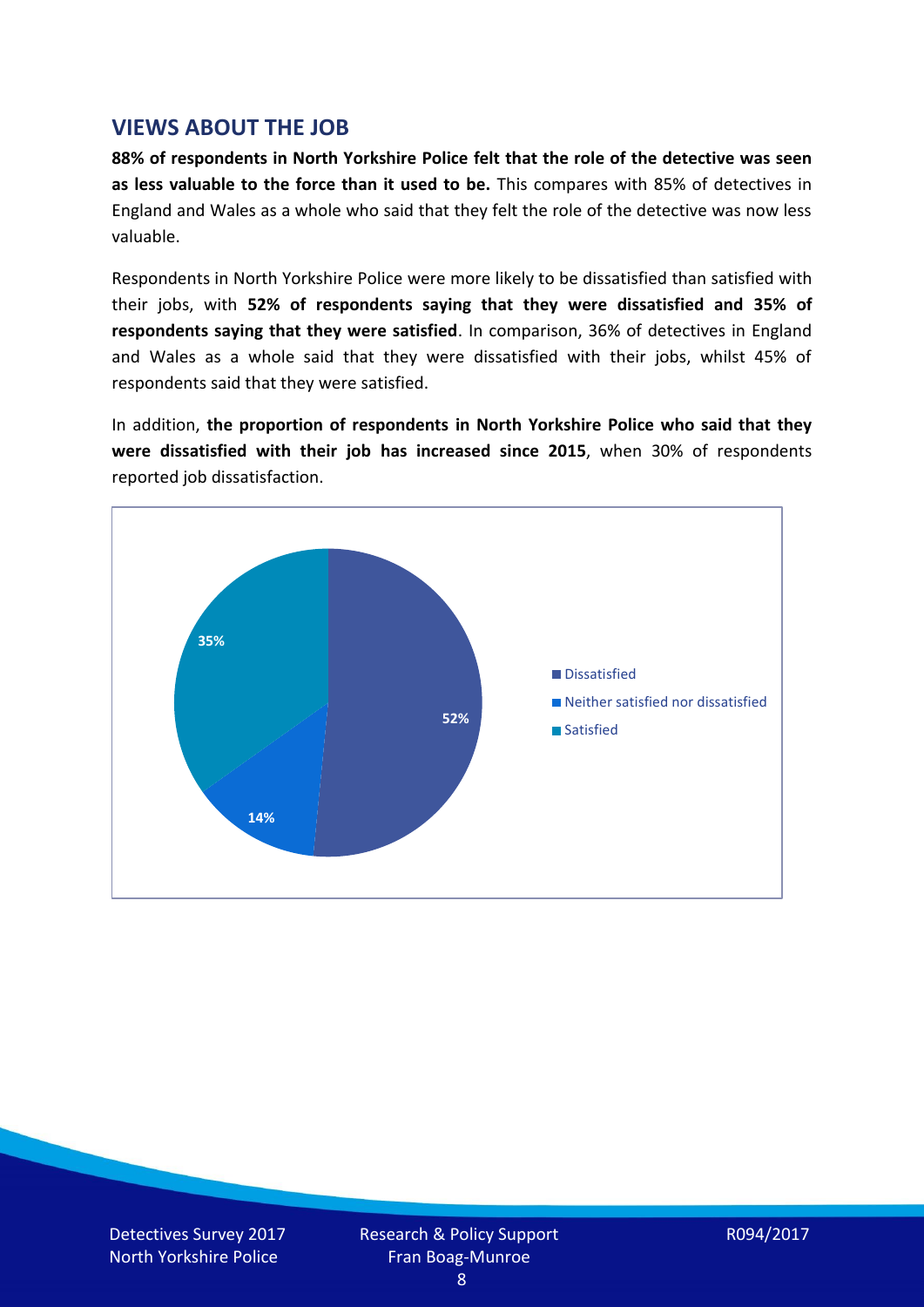## **VIEWS ABOUT THE JOB**

**88% of respondents in North Yorkshire Police felt that the role of the detective was seen as less valuable to the force than it used to be.** This compares with 85% of detectives in England and Wales as a whole who said that they felt the role of the detective was now less valuable.

Respondents in North Yorkshire Police were more likely to be dissatisfied than satisfied with their jobs, with **52% of respondents saying that they were dissatisfied and 35% of respondents saying that they were satisfied**. In comparison, 36% of detectives in England and Wales as a whole said that they were dissatisfied with their jobs, whilst 45% of respondents said that they were satisfied.

In addition, **the proportion of respondents in North Yorkshire Police who said that they were dissatisfied with their job has increased since 2015**, when 30% of respondents reported job dissatisfaction.

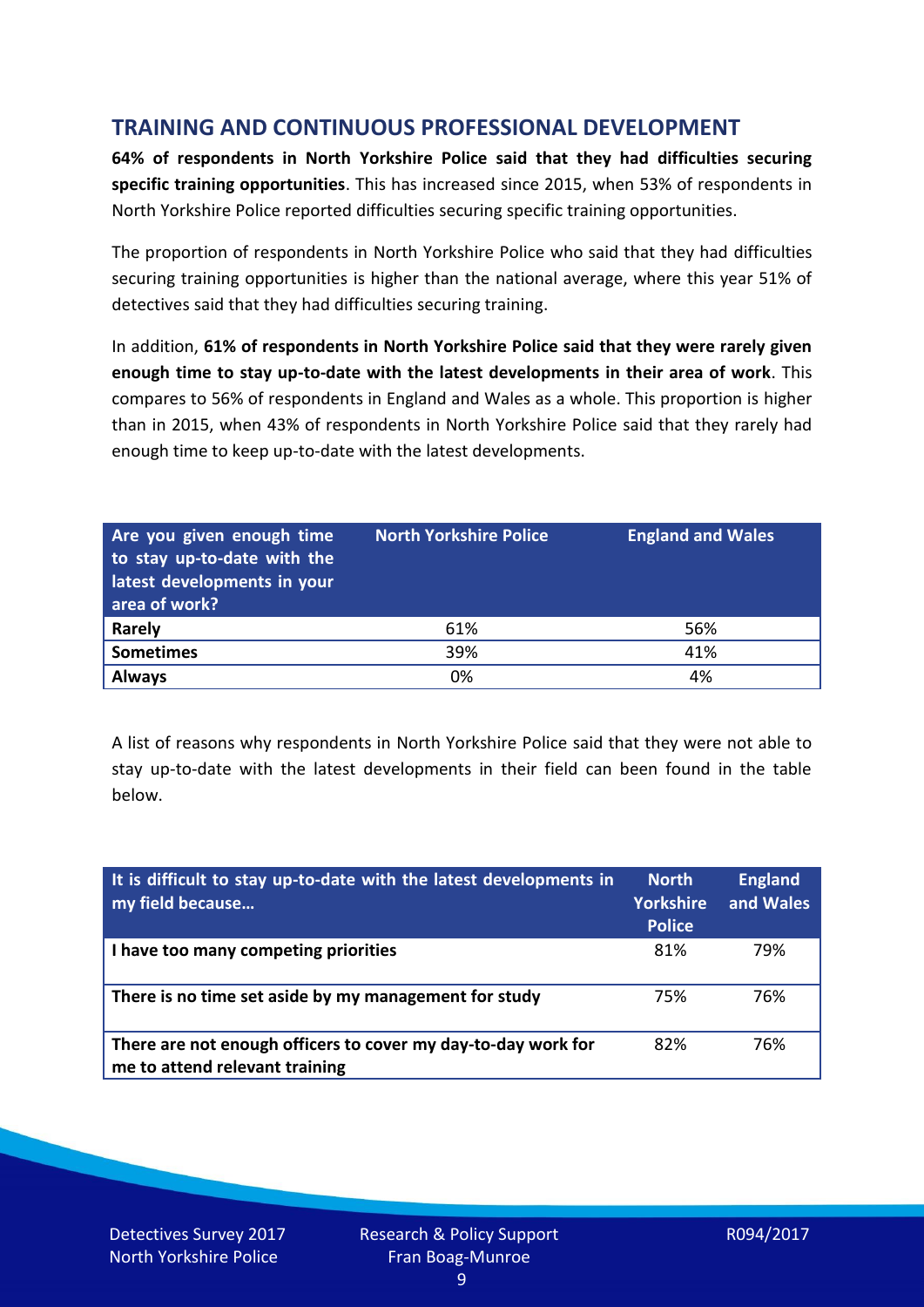# **TRAINING AND CONTINUOUS PROFESSIONAL DEVELOPMENT**

**64% of respondents in North Yorkshire Police said that they had difficulties securing specific training opportunities**. This has increased since 2015, when 53% of respondents in North Yorkshire Police reported difficulties securing specific training opportunities.

The proportion of respondents in North Yorkshire Police who said that they had difficulties securing training opportunities is higher than the national average, where this year 51% of detectives said that they had difficulties securing training.

In addition, **61% of respondents in North Yorkshire Police said that they were rarely given enough time to stay up-to-date with the latest developments in their area of work**. This compares to 56% of respondents in England and Wales as a whole. This proportion is higher than in 2015, when 43% of respondents in North Yorkshire Police said that they rarely had enough time to keep up-to-date with the latest developments.

| Are you given enough time<br>to stay up-to-date with the<br>latest developments in your<br>area of work? | <b>North Yorkshire Police</b> | <b>England and Wales</b> |
|----------------------------------------------------------------------------------------------------------|-------------------------------|--------------------------|
| <b>Rarely</b>                                                                                            | 61%                           | 56%                      |
| <b>Sometimes</b>                                                                                         | 39%                           | 41%                      |
| <b>Always</b>                                                                                            | 0%                            | 4%                       |

A list of reasons why respondents in North Yorkshire Police said that they were not able to stay up-to-date with the latest developments in their field can been found in the table below.

| It is difficult to stay up-to-date with the latest developments in<br>my field because          | <b>North</b><br>Yorkshire<br><b>Police</b> | <b>England</b><br>and Wales |
|-------------------------------------------------------------------------------------------------|--------------------------------------------|-----------------------------|
| I have too many competing priorities                                                            | 81%                                        | 79%                         |
| There is no time set aside by my management for study                                           | 75%                                        | 76%                         |
| There are not enough officers to cover my day-to-day work for<br>me to attend relevant training | 82%                                        | 76%                         |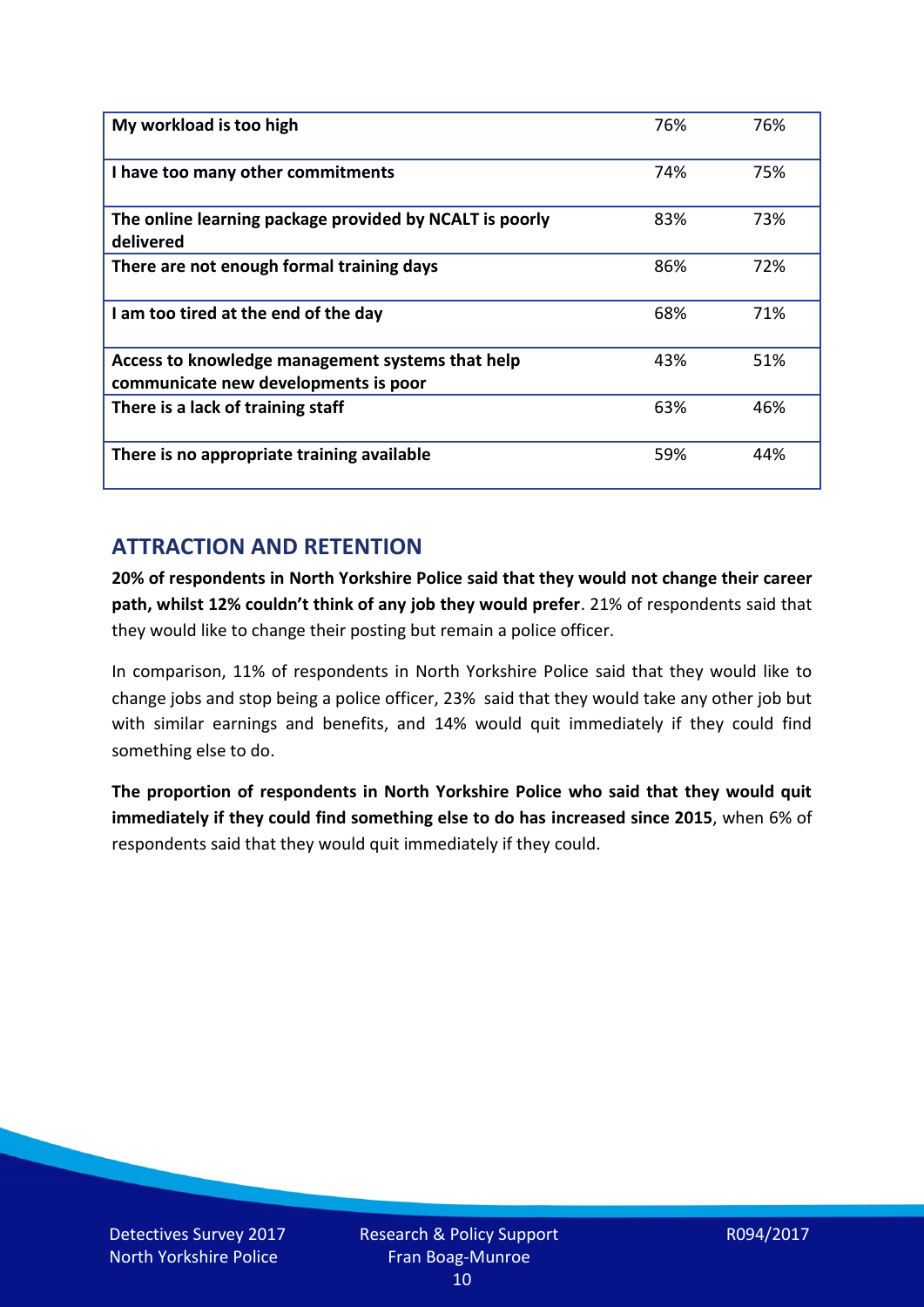| My workload is too high                                                                  | 76% | 76% |
|------------------------------------------------------------------------------------------|-----|-----|
| I have too many other commitments                                                        | 74% | 75% |
| The online learning package provided by NCALT is poorly<br>delivered                     | 83% | 73% |
| There are not enough formal training days                                                | 86% | 72% |
| I am too tired at the end of the day                                                     | 68% | 71% |
| Access to knowledge management systems that help<br>communicate new developments is poor | 43% | 51% |
| There is a lack of training staff                                                        | 63% | 46% |
| There is no appropriate training available                                               | 59% | 44% |

# **ATTRACTION AND RETENTION**

**20% of respondents in North Yorkshire Police said that they would not change their career path, whilst 12% couldn't think of any job they would prefer**. 21% of respondents said that they would like to change their posting but remain a police officer.

In comparison, 11% of respondents in North Yorkshire Police said that they would like to change jobs and stop being a police officer, 23% said that they would take any other job but with similar earnings and benefits, and 14% would quit immediately if they could find something else to do.

**The proportion of respondents in North Yorkshire Police who said that they would quit immediately if they could find something else to do has increased since 2015**, when 6% of respondents said that they would quit immediately if they could.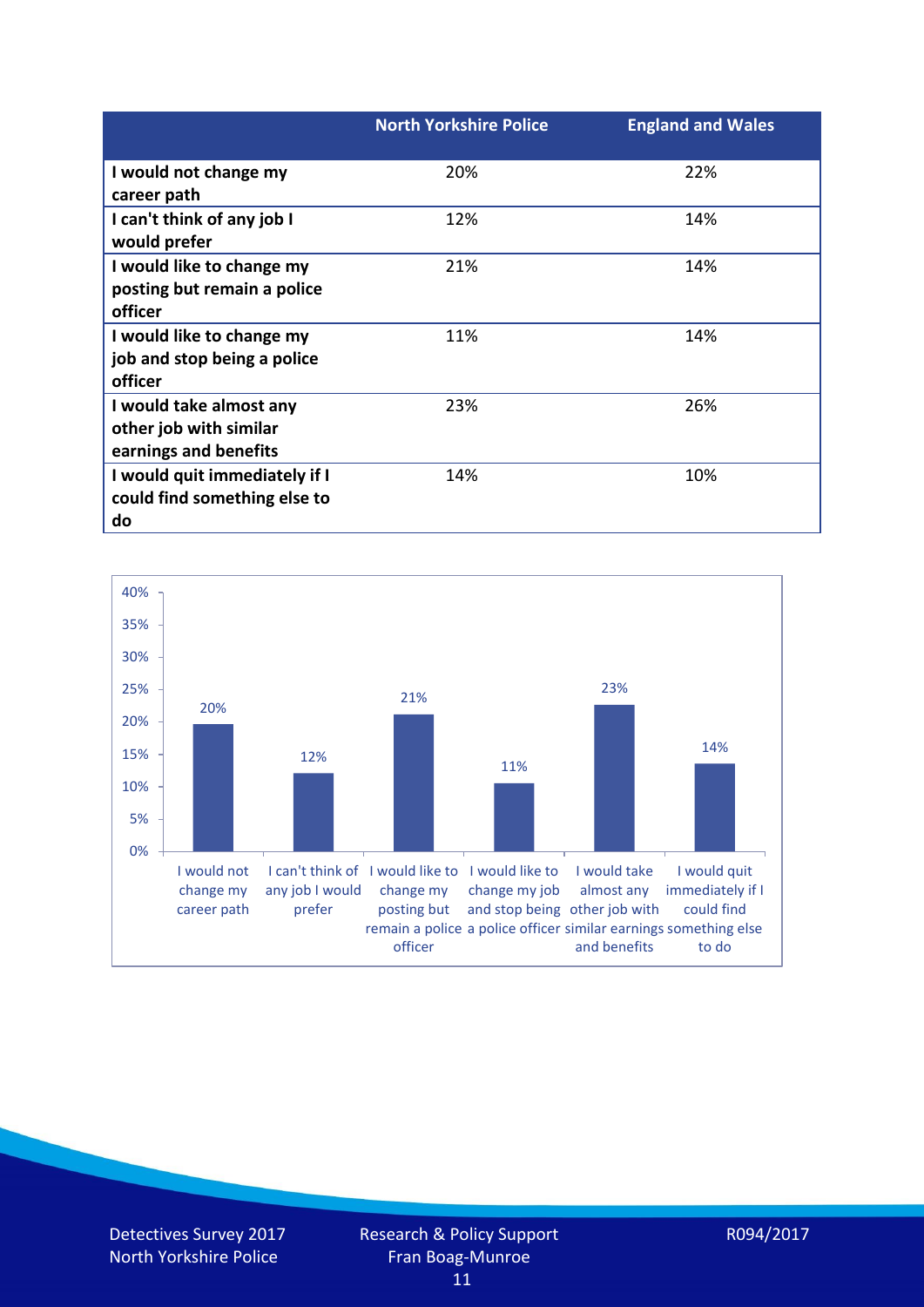|                               | <b>North Yorkshire Police</b> | <b>England and Wales</b> |
|-------------------------------|-------------------------------|--------------------------|
| I would not change my         | 20%                           | 22%                      |
| career path                   |                               |                          |
| I can't think of any job I    | 12%                           | 14%                      |
| would prefer                  |                               |                          |
| I would like to change my     | 21%                           | 14%                      |
| posting but remain a police   |                               |                          |
| officer                       |                               |                          |
| I would like to change my     | 11%                           | 14%                      |
| job and stop being a police   |                               |                          |
| officer                       |                               |                          |
| I would take almost any       | 23%                           | 26%                      |
| other job with similar        |                               |                          |
| earnings and benefits         |                               |                          |
| I would quit immediately if I | 14%                           | 10%                      |
| could find something else to  |                               |                          |
| do                            |                               |                          |